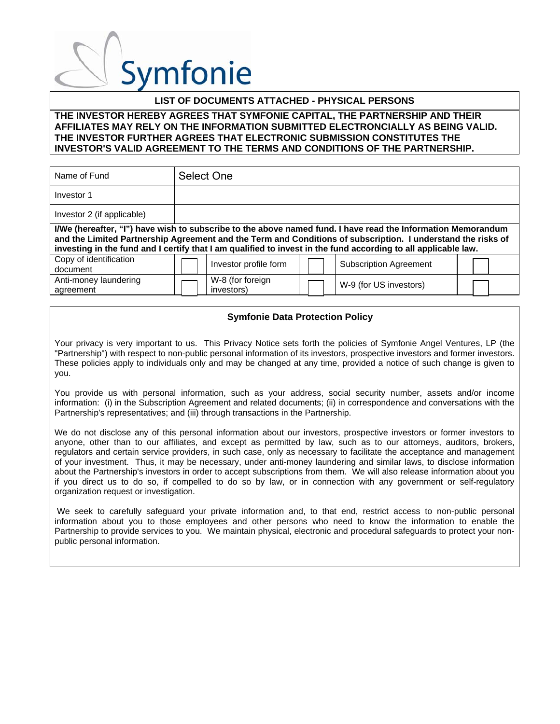### **LIST OF DOCUMENTS ATTACHED - PHYSICAL PERSONS**

#### **THE INVESTOR HEREBY AGREES THAT SYMFONIE CAPITAL, THE PARTNERSHIP AND THEIR AFFILIATES MAY RELY ON THE INFORMATION SUBMITTED ELECTRONCIALLY AS BEING VALID. THE INVESTOR FURTHER AGREES THAT ELECTRONIC SUBMISSION CONSTITUTES THE INVESTOR'S VALID AGREEMENT TO THE TERMS AND CONDITIONS OF THE PARTNERSHIP.**

| Name of Fund                       | Select One                                                                                                                                                                                                                                                                                                                                     |
|------------------------------------|------------------------------------------------------------------------------------------------------------------------------------------------------------------------------------------------------------------------------------------------------------------------------------------------------------------------------------------------|
| Investor 1                         |                                                                                                                                                                                                                                                                                                                                                |
| Investor 2 (if applicable)         |                                                                                                                                                                                                                                                                                                                                                |
|                                    | I/We (hereafter, "I") have wish to subscribe to the above named fund. I have read the Information Memorandum<br>and the Limited Partnership Agreement and the Term and Conditions of subscription. I understand the risks of<br>investing in the fund and I certify that I am qualified to invest in the fund according to all applicable law. |
| Copy of identification<br>document | Investor profile form<br><b>Subscription Agreement</b>                                                                                                                                                                                                                                                                                         |
| Anti-money laundering<br>agreement | W-8 (for foreign<br>W-9 (for US investors)<br>investors)                                                                                                                                                                                                                                                                                       |

### **Symfonie Data Protection Policy**

Your privacy is very important to us. This Privacy Notice sets forth the policies of Symfonie Angel Ventures, LP (the "Partnership") with respect to non-public personal information of its investors, prospective investors and former investors. These policies apply to individuals only and may be changed at any time, provided a notice of such change is given to you.

You provide us with personal information, such as your address, social security number, assets and/or income information: (i) in the Subscription Agreement and related documents; (ii) in correspondence and conversations with the Partnership's representatives; and (iii) through transactions in the Partnership.

We do not disclose any of this personal information about our investors, prospective investors or former investors to anyone, other than to our affiliates, and except as permitted by law, such as to our attorneys, auditors, brokers, regulators and certain service providers, in such case, only as necessary to facilitate the acceptance and management of your investment. Thus, it may be necessary, under anti-money laundering and similar laws, to disclose information about the Partnership's investors in order to accept subscriptions from them. We will also release information about you if you direct us to do so, if compelled to do so by law, or in connection with any government or self-regulatory organization request or investigation.

 We seek to carefully safeguard your private information and, to that end, restrict access to non-public personal information about you to those employees and other persons who need to know the information to enable the Partnership to provide services to you. We maintain physical, electronic and procedural safeguards to protect your nonpublic personal information.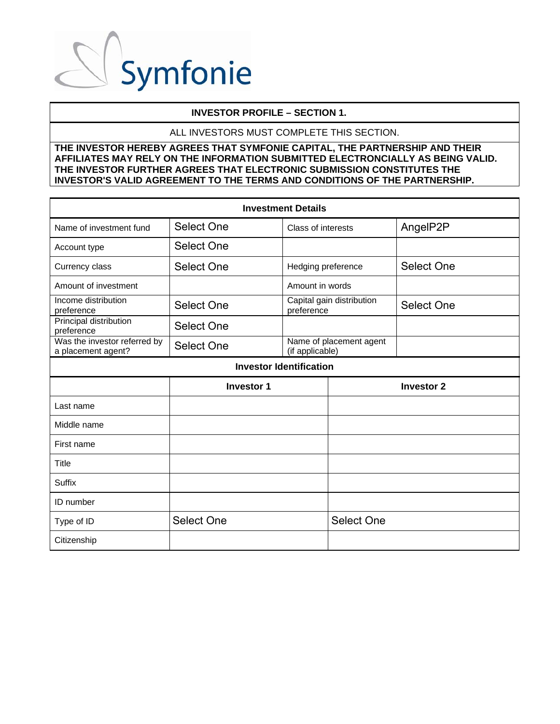

### **INVESTOR PROFILE – SECTION 1.**

#### ALL INVESTORS MUST COMPLETE THIS SECTION.

| <b>Investment Details</b>                          |                   |                    |                           |                   |
|----------------------------------------------------|-------------------|--------------------|---------------------------|-------------------|
| Name of investment fund                            | Select One        | Class of interests |                           | AngelP2P          |
| Account type                                       | Select One        |                    |                           |                   |
| Currency class                                     | <b>Select One</b> | Hedging preference |                           | Select One        |
| Amount of investment                               |                   | Amount in words    |                           |                   |
| Income distribution<br>preference                  | Select One        | preference         | Capital gain distribution | Select One        |
| Principal distribution<br>preference               | <b>Select One</b> |                    |                           |                   |
| Was the investor referred by<br>a placement agent? | Select One        | (if applicable)    | Name of placement agent   |                   |
| <b>Investor Identification</b>                     |                   |                    |                           |                   |
|                                                    |                   |                    |                           |                   |
|                                                    | <b>Investor 1</b> |                    |                           | <b>Investor 2</b> |
| Last name                                          |                   |                    |                           |                   |
| Middle name                                        |                   |                    |                           |                   |
| First name                                         |                   |                    |                           |                   |
| <b>Title</b>                                       |                   |                    |                           |                   |
| Suffix                                             |                   |                    |                           |                   |
| <b>ID</b> number                                   |                   |                    |                           |                   |
| Type of ID                                         | <b>Select One</b> |                    | <b>Select One</b>         |                   |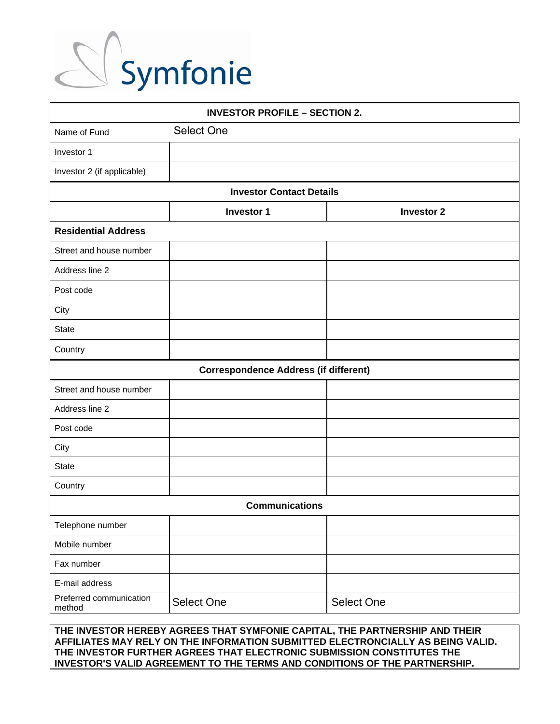

| <b>INVESTOR PROFILE - SECTION 2.</b> |                                              |                   |
|--------------------------------------|----------------------------------------------|-------------------|
| Name of Fund                         | Select One                                   |                   |
| Investor 1                           |                                              |                   |
| Investor 2 (if applicable)           |                                              |                   |
|                                      | <b>Investor Contact Details</b>              |                   |
|                                      | <b>Investor 1</b>                            | <b>Investor 2</b> |
| <b>Residential Address</b>           |                                              |                   |
| Street and house number              |                                              |                   |
| Address line 2                       |                                              |                   |
| Post code                            |                                              |                   |
| City                                 |                                              |                   |
| <b>State</b>                         |                                              |                   |
| Country                              |                                              |                   |
|                                      | <b>Correspondence Address (if different)</b> |                   |
| Street and house number              |                                              |                   |
| Address line 2                       |                                              |                   |
| Post code                            |                                              |                   |
| City                                 |                                              |                   |
| <b>State</b>                         |                                              |                   |
| Country                              |                                              |                   |
|                                      | <b>Communications</b>                        |                   |
| Telephone number                     |                                              |                   |
| Mobile number                        |                                              |                   |
| Fax number                           |                                              |                   |
| E-mail address                       |                                              |                   |
| Preferred communication<br>method    | Select One                                   | Select One        |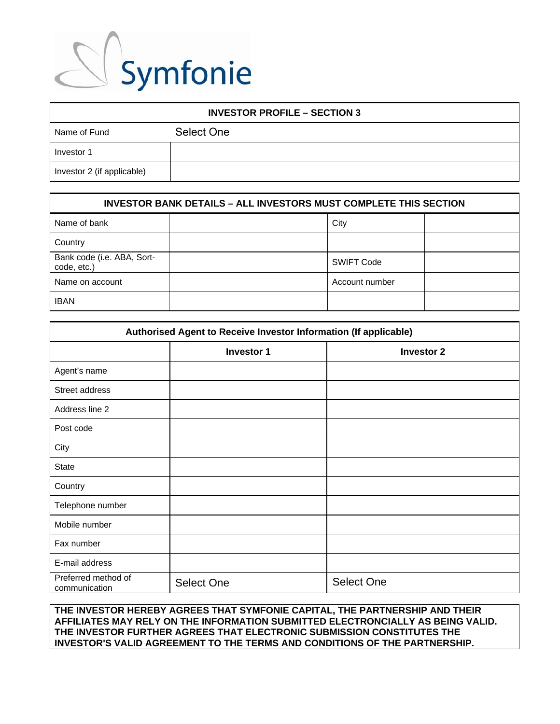

| <b>INVESTOR PROFILE - SECTION 3</b> |            |
|-------------------------------------|------------|
| Name of Fund                        | Select One |
| Investor 1                          |            |
| Investor 2 (if applicable)          |            |

| <b>INVESTOR BANK DETAILS - ALL INVESTORS MUST COMPLETE THIS SECTION</b> |  |                   |  |
|-------------------------------------------------------------------------|--|-------------------|--|
| Name of bank                                                            |  | City              |  |
| Country                                                                 |  |                   |  |
| Bank code (i.e. ABA, Sort-<br>code, etc.)                               |  | <b>SWIFT Code</b> |  |
| Name on account                                                         |  | Account number    |  |
| <b>IBAN</b>                                                             |  |                   |  |

| Authorised Agent to Receive Investor Information (If applicable) |                                        |                   |  |  |
|------------------------------------------------------------------|----------------------------------------|-------------------|--|--|
|                                                                  | <b>Investor 1</b><br><b>Investor 2</b> |                   |  |  |
| Agent's name                                                     |                                        |                   |  |  |
| Street address                                                   |                                        |                   |  |  |
| Address line 2                                                   |                                        |                   |  |  |
| Post code                                                        |                                        |                   |  |  |
| City                                                             |                                        |                   |  |  |
| <b>State</b>                                                     |                                        |                   |  |  |
| Country                                                          |                                        |                   |  |  |
| Telephone number                                                 |                                        |                   |  |  |
| Mobile number                                                    |                                        |                   |  |  |
| Fax number                                                       |                                        |                   |  |  |
| E-mail address                                                   |                                        |                   |  |  |
| Preferred method of<br>communication                             | <b>Select One</b>                      | <b>Select One</b> |  |  |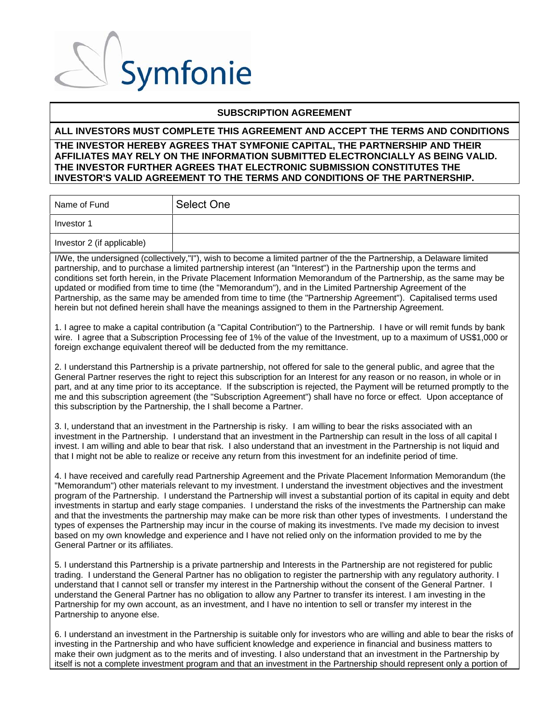

### **SUBSCRIPTION AGREEMENT**

### **ALL INVESTORS MUST COMPLETE THIS AGREEMENT AND ACCEPT THE TERMS AND CONDITIONS**

### **THE INVESTOR HEREBY AGREES THAT SYMFONIE CAPITAL, THE PARTNERSHIP AND THEIR AFFILIATES MAY RELY ON THE INFORMATION SUBMITTED ELECTRONCIALLY AS BEING VALID. THE INVESTOR FURTHER AGREES THAT ELECTRONIC SUBMISSION CONSTITUTES THE INVESTOR'S VALID AGREEMENT TO THE TERMS AND CONDITIONS OF THE PARTNERSHIP.**

| Name of Fund               | Select One |
|----------------------------|------------|
| Investor 1                 |            |
| Investor 2 (if applicable) |            |

I/We, the undersigned (collectively,"I"), wish to become a limited partner of the the Partnership, a Delaware limited partnership, and to purchase a limited partnership interest (an "Interest") in the Partnership upon the terms and conditions set forth herein, in the Private Placement Information Memorandum of the Partnership, as the same may be updated or modified from time to time (the "Memorandum"), and in the Limited Partnership Agreement of the Partnership, as the same may be amended from time to time (the "Partnership Agreement"). Capitalised terms used herein but not defined herein shall have the meanings assigned to them in the Partnership Agreement.

1. I agree to make a capital contribution (a "Capital Contribution") to the Partnership. I have or will remit funds by bank wire. I agree that a Subscription Processing fee of 1% of the value of the Investment, up to a maximum of US\$1,000 or foreign exchange equivalent thereof will be deducted from the my remittance.

2. I understand this Partnership is a private partnership, not offered for sale to the general public, and agree that the General Partner reserves the right to reject this subscription for an Interest for any reason or no reason, in whole or in part, and at any time prior to its acceptance. If the subscription is rejected, the Payment will be returned promptly to the me and this subscription agreement (the "Subscription Agreement") shall have no force or effect. Upon acceptance of this subscription by the Partnership, the I shall become a Partner.

3. I, understand that an investment in the Partnership is risky. I am willing to bear the risks associated with an investment in the Partnership. I understand that an investment in the Partnership can result in the loss of all capital I invest. I am willing and able to bear that risk. I also understand that an investment in the Partnership is not liquid and that I might not be able to realize or receive any return from this investment for an indefinite period of time.

4. I have received and carefully read Partnership Agreement and the Private Placement Information Memorandum (the "Memorandum") other materials relevant to my investment. I understand the investment objectives and the investment program of the Partnership. I understand the Partnership will invest a substantial portion of its capital in equity and debt investments in startup and early stage companies. I understand the risks of the investments the Partnership can make and that the investments the partnership may make can be more risk than other types of investments. I understand the types of expenses the Partnership may incur in the course of making its investments. I've made my decision to invest based on my own knowledge and experience and I have not relied only on the information provided to me by the General Partner or its affiliates.

5. I understand this Partnership is a private partnership and Interests in the Partnership are not registered for public trading. I understand the General Partner has no obligation to register the partnership with any regulatory authority. I understand that I cannot sell or transfer my interest in the Partnership without the consent of the General Partner. I understand the General Partner has no obligation to allow any Partner to transfer its interest. I am investing in the Partnership for my own account, as an investment, and I have no intention to sell or transfer my interest in the Partnership to anyone else.

6. I understand an investment in the Partnership is suitable only for investors who are willing and able to bear the risks of investing in the Partnership and who have sufficient knowledge and experience in financial and business matters to make their own judgment as to the merits and of investing. I also understand that an investment in the Partnership by itself is not a complete investment program and that an investment in the Partnership should represent only a portion of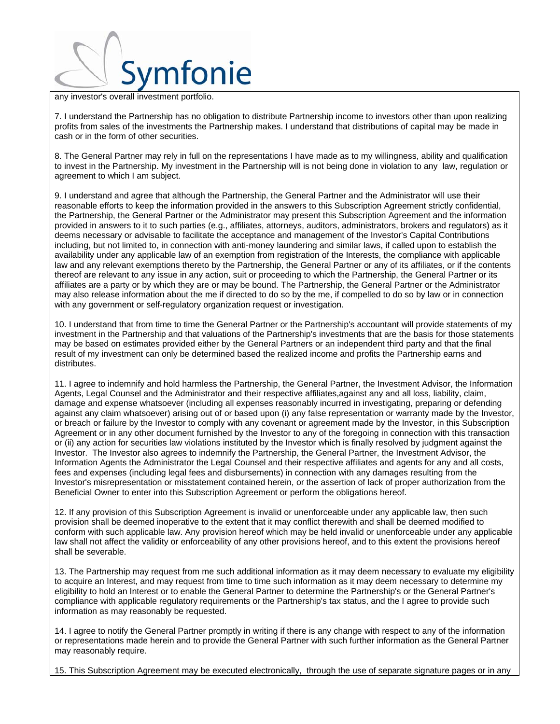

any investor's overall investment portfolio.

7. I understand the Partnership has no obligation to distribute Partnership income to investors other than upon realizing profits from sales of the investments the Partnership makes. I understand that distributions of capital may be made in cash or in the form of other securities.

8. The General Partner may rely in full on the representations I have made as to my willingness, ability and qualification to invest in the Partnership. My investment in the Partnership will is not being done in violation to any law, regulation or agreement to which I am subject.

9. I understand and agree that although the Partnership, the General Partner and the Administrator will use their reasonable efforts to keep the information provided in the answers to this Subscription Agreement strictly confidential, the Partnership, the General Partner or the Administrator may present this Subscription Agreement and the information provided in answers to it to such parties (e.g., affiliates, attorneys, auditors, administrators, brokers and regulators) as it deems necessary or advisable to facilitate the acceptance and management of the Investor's Capital Contributions including, but not limited to, in connection with anti-money laundering and similar laws, if called upon to establish the availability under any applicable law of an exemption from registration of the Interests, the compliance with applicable law and any relevant exemptions thereto by the Partnership, the General Partner or any of its affiliates, or if the contents thereof are relevant to any issue in any action, suit or proceeding to which the Partnership, the General Partner or its affiliates are a party or by which they are or may be bound. The Partnership, the General Partner or the Administrator may also release information about the me if directed to do so by the me, if compelled to do so by law or in connection with any government or self-regulatory organization request or investigation.

10. I understand that from time to time the General Partner or the Partnership's accountant will provide statements of my investment in the Partnership and that valuations of the Partnership's investments that are the basis for those statements may be based on estimates provided either by the General Partners or an independent third party and that the final result of my investment can only be determined based the realized income and profits the Partnership earns and distributes.

11. I agree to indemnify and hold harmless the Partnership, the General Partner, the Investment Advisor, the Information Agents, Legal Counsel and the Administrator and their respective affiliates,against any and all loss, liability, claim, damage and expense whatsoever (including all expenses reasonably incurred in investigating, preparing or defending against any claim whatsoever) arising out of or based upon (i) any false representation or warranty made by the Investor, or breach or failure by the Investor to comply with any covenant or agreement made by the Investor, in this Subscription Agreement or in any other document furnished by the Investor to any of the foregoing in connection with this transaction or (ii) any action for securities law violations instituted by the Investor which is finally resolved by judgment against the Investor. The Investor also agrees to indemnify the Partnership, the General Partner, the Investment Advisor, the Information Agents the Administrator the Legal Counsel and their respective affiliates and agents for any and all costs, fees and expenses (including legal fees and disbursements) in connection with any damages resulting from the Investor's misrepresentation or misstatement contained herein, or the assertion of lack of proper authorization from the Beneficial Owner to enter into this Subscription Agreement or perform the obligations hereof.

12. If any provision of this Subscription Agreement is invalid or unenforceable under any applicable law, then such provision shall be deemed inoperative to the extent that it may conflict therewith and shall be deemed modified to conform with such applicable law. Any provision hereof which may be held invalid or unenforceable under any applicable law shall not affect the validity or enforceability of any other provisions hereof, and to this extent the provisions hereof shall be severable.

13. The Partnership may request from me such additional information as it may deem necessary to evaluate my eligibility to acquire an Interest, and may request from time to time such information as it may deem necessary to determine my eligibility to hold an Interest or to enable the General Partner to determine the Partnership's or the General Partner's compliance with applicable regulatory requirements or the Partnership's tax status, and the I agree to provide such information as may reasonably be requested.

14. I agree to notify the General Partner promptly in writing if there is any change with respect to any of the information or representations made herein and to provide the General Partner with such further information as the General Partner may reasonably require.

15. This Subscription Agreement may be executed electronically, through the use of separate signature pages or in any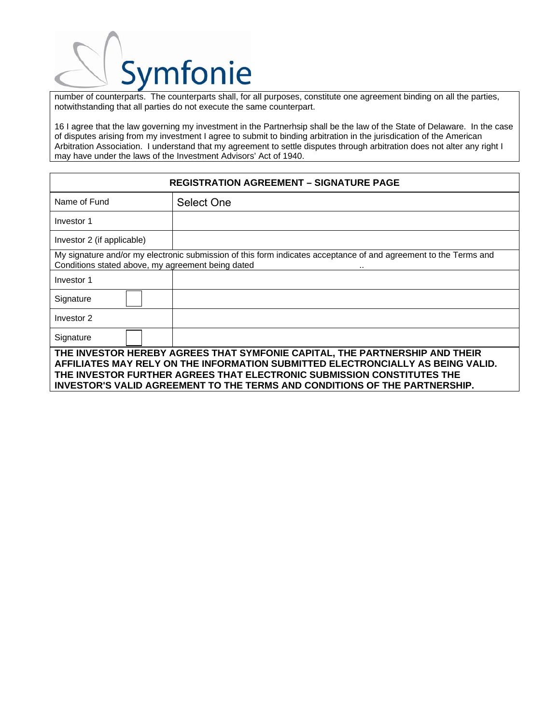number of counterparts. The counterparts shall, for all purposes, constitute one agreement binding on all the parties, notwithstanding that all parties do not execute the same counterpart.

16 I agree that the law governing my investment in the Partnerhsip shall be the law of the State of Delaware. In the case of disputes arising from my investment I agree to submit to binding arbitration in the jurisdication of the American Arbitration Association. I understand that my agreement to settle disputes through arbitration does not alter any right I may have under the laws of the Investment Advisors' Act of 1940.

| <b>REGISTRATION AGREEMENT - SIGNATURE PAGE</b>                                                                                                                                                                                                                                                                         |            |  |
|------------------------------------------------------------------------------------------------------------------------------------------------------------------------------------------------------------------------------------------------------------------------------------------------------------------------|------------|--|
| Name of Fund                                                                                                                                                                                                                                                                                                           | Select One |  |
| Investor 1                                                                                                                                                                                                                                                                                                             |            |  |
| Investor 2 (if applicable)                                                                                                                                                                                                                                                                                             |            |  |
| My signature and/or my electronic submission of this form indicates acceptance of and agreement to the Terms and<br>Conditions stated above, my agreement being dated                                                                                                                                                  |            |  |
| Investor 1                                                                                                                                                                                                                                                                                                             |            |  |
| Signature                                                                                                                                                                                                                                                                                                              |            |  |
| Investor 2                                                                                                                                                                                                                                                                                                             |            |  |
| Signature                                                                                                                                                                                                                                                                                                              |            |  |
| THE INVESTOR HEREBY AGREES THAT SYMFONIE CAPITAL, THE PARTNERSHIP AND THEIR<br>AFFILIATES MAY RELY ON THE INFORMATION SUBMITTED ELECTRONCIALLY AS BEING VALID.<br>THE INVESTOR FURTHER AGREES THAT ELECTRONIC SUBMISSION CONSTITUTES THE<br>INVESTOR'S VALID AGREEMENT TO THE TERMS AND CONDITIONS OF THE PARTNERSHIP. |            |  |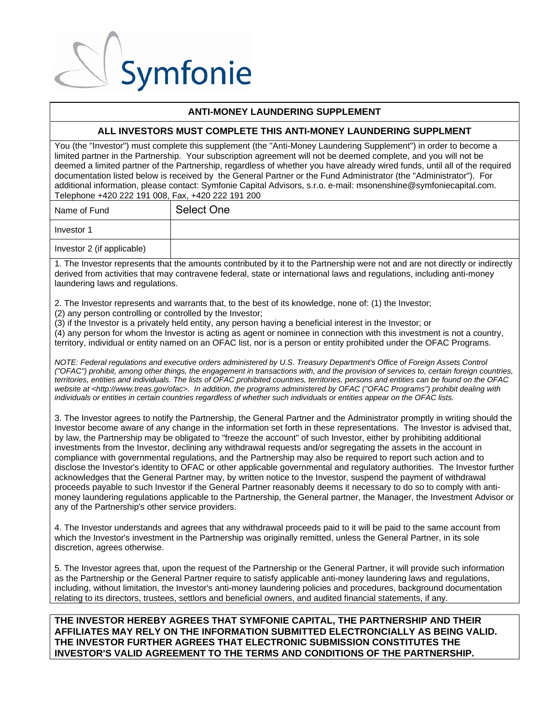### **ANTI-MONEY LAUNDERING SUPPLEMENT**

#### **ALL INVESTORS MUST COMPLETE THIS ANTI-MONEY LAUNDERING SUPPLMENT**

You (the "Investor") must complete this supplement (the "Anti-Money Laundering Supplement") in order to become a limited partner in the Partnership. Your subscription agreement will not be deemed complete, and you will not be deemed a limited partner of the Partnership, regardless of whether you have already wired funds, until all of the required documentation listed below is received by the General Partner or the Fund Administrator (the "Administrator"). For additional information, please contact: Symfonie Capital Advisors, s.r.o. e-mail: msonenshine@symfoniecapital.com. Telephone +420 222 191 008, Fax, +420 222 191 200

| Name of Fund               | Select One |
|----------------------------|------------|
| Investor 1                 |            |
| Investor 2 (if applicable) |            |

1. The Investor represents that the amounts contributed by it to the Partnership were not and are not directly or indirectly derived from activities that may contravene federal, state or international laws and regulations, including anti-money laundering laws and regulations.

2. The Investor represents and warrants that, to the best of its knowledge, none of: (1) the Investor; (2) any person controlling or controlled by the Investor;

(3) if the Investor is a privately held entity, any person having a beneficial interest in the Investor; or (4) any person for whom the Investor is acting as agent or nominee in connection with this investment is not a country, territory, individual or entity named on an OFAC list, nor is a person or entity prohibited under the OFAC Programs.

*NOTE: Federal regulations and executive orders administered by U.S. Treasury Department's Office of Foreign Assets Control ("OFAC") prohibit, among other things, the engagement in transactions with, and the provision of services to, certain foreign countries, territories, entities and individuals. The lists of OFAC prohibited countries, territories, persons and entities can be found on the OFAC website at <http://www.treas.gov/ofac>. In addition, the programs administered by OFAC ("OFAC Programs") prohibit dealing with individuals or entities in certain countries regardless of whether such individuals or entities appear on the OFAC lists.* 

3. The Investor agrees to notify the Partnership, the General Partner and the Administrator promptly in writing should the Investor become aware of any change in the information set forth in these representations. The Investor is advised that, by law, the Partnership may be obligated to "freeze the account" of such Investor, either by prohibiting additional investments from the Investor, declining any withdrawal requests and/or segregating the assets in the account in compliance with governmental regulations, and the Partnership may also be required to report such action and to disclose the Investor's identity to OFAC or other applicable governmental and regulatory authorities. The Investor further acknowledges that the General Partner may, by written notice to the Investor, suspend the payment of withdrawal proceeds payable to such Investor if the General Partner reasonably deems it necessary to do so to comply with antimoney laundering regulations applicable to the Partnership, the General partner, the Manager, the Investment Advisor or any of the Partnership's other service providers.

4. The Investor understands and agrees that any withdrawal proceeds paid to it will be paid to the same account from which the Investor's investment in the Partnership was originally remitted, unless the General Partner, in its sole discretion, agrees otherwise.

5. The Investor agrees that, upon the request of the Partnership or the General Partner, it will provide such information as the Partnership or the General Partner require to satisfy applicable anti-money laundering laws and regulations, including, without limitation, the Investor's anti-money laundering policies and procedures, background documentation relating to its directors, trustees, settlors and beneficial owners, and audited financial statements, if any.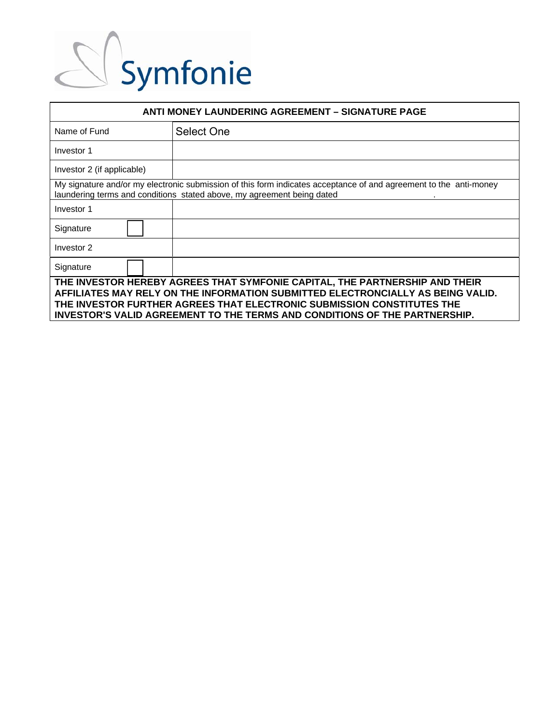| <b>ANTI MONEY LAUNDERING AGREEMENT - SIGNATURE PAGE</b>                                                                                                                                                                                                                                                                |                                                                                                                                                                                             |  |
|------------------------------------------------------------------------------------------------------------------------------------------------------------------------------------------------------------------------------------------------------------------------------------------------------------------------|---------------------------------------------------------------------------------------------------------------------------------------------------------------------------------------------|--|
| Name of Fund                                                                                                                                                                                                                                                                                                           | <b>Select One</b>                                                                                                                                                                           |  |
| Investor 1                                                                                                                                                                                                                                                                                                             |                                                                                                                                                                                             |  |
| Investor 2 (if applicable)                                                                                                                                                                                                                                                                                             |                                                                                                                                                                                             |  |
|                                                                                                                                                                                                                                                                                                                        | My signature and/or my electronic submission of this form indicates acceptance of and agreement to the anti-money<br>laundering terms and conditions stated above, my agreement being dated |  |
| Investor 1                                                                                                                                                                                                                                                                                                             |                                                                                                                                                                                             |  |
| Signature                                                                                                                                                                                                                                                                                                              |                                                                                                                                                                                             |  |
| Investor 2                                                                                                                                                                                                                                                                                                             |                                                                                                                                                                                             |  |
| Signature                                                                                                                                                                                                                                                                                                              |                                                                                                                                                                                             |  |
| THE INVESTOR HEREBY AGREES THAT SYMFONIE CAPITAL, THE PARTNERSHIP AND THEIR<br>AFFILIATES MAY RELY ON THE INFORMATION SUBMITTED ELECTRONCIALLY AS BEING VALID.<br>THE INVESTOR FURTHER AGREES THAT ELECTRONIC SUBMISSION CONSTITUTES THE<br>INVESTOR'S VALID AGREEMENT TO THE TERMS AND CONDITIONS OF THE PARTNERSHIP. |                                                                                                                                                                                             |  |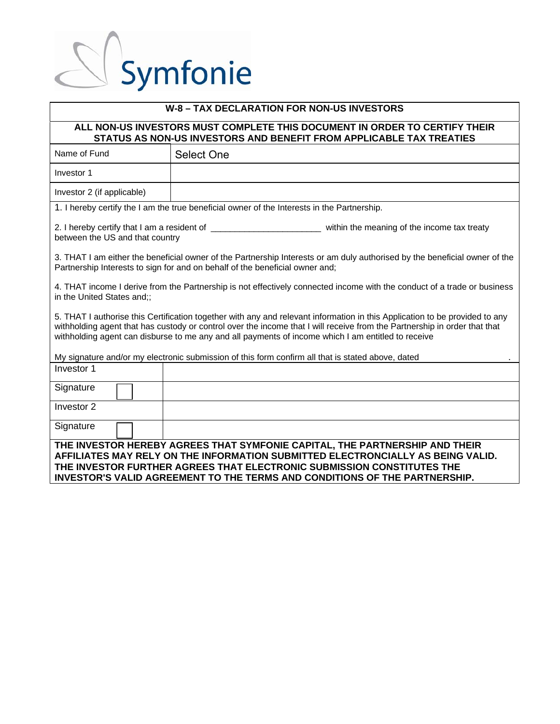### **W-8 – TAX DECLARATION FOR NON-US INVESTORS**

### **ALL NON-US INVESTORS MUST COMPLETE THIS DOCUMENT IN ORDER TO CERTIFY THEIR STATUS AS NON-US INVESTORS AND BENEFIT FROM APPLICABLE TAX TREATIES**

| Name of Fund                                                                                                                                                                                                                                                                                                                                                   | <b>Select One</b>                                                                                                                                                                                                                                                                                                             |  |
|----------------------------------------------------------------------------------------------------------------------------------------------------------------------------------------------------------------------------------------------------------------------------------------------------------------------------------------------------------------|-------------------------------------------------------------------------------------------------------------------------------------------------------------------------------------------------------------------------------------------------------------------------------------------------------------------------------|--|
| Investor 1                                                                                                                                                                                                                                                                                                                                                     |                                                                                                                                                                                                                                                                                                                               |  |
| Investor 2 (if applicable)                                                                                                                                                                                                                                                                                                                                     |                                                                                                                                                                                                                                                                                                                               |  |
|                                                                                                                                                                                                                                                                                                                                                                | 1. I hereby certify the I am the true beneficial owner of the Interests in the Partnership.                                                                                                                                                                                                                                   |  |
| between the US and that country                                                                                                                                                                                                                                                                                                                                |                                                                                                                                                                                                                                                                                                                               |  |
| 3. THAT I am either the beneficial owner of the Partnership Interests or am duly authorised by the beneficial owner of the<br>Partnership Interests to sign for and on behalf of the beneficial owner and;                                                                                                                                                     |                                                                                                                                                                                                                                                                                                                               |  |
| 4. THAT income I derive from the Partnership is not effectively connected income with the conduct of a trade or business<br>in the United States and;;                                                                                                                                                                                                         |                                                                                                                                                                                                                                                                                                                               |  |
| 5. THAT I authorise this Certification together with any and relevant information in this Application to be provided to any<br>withholding agent that has custody or control over the income that I will receive from the Partnership in order that that<br>withholding agent can disburse to me any and all payments of income which I am entitled to receive |                                                                                                                                                                                                                                                                                                                               |  |
|                                                                                                                                                                                                                                                                                                                                                                | My signature and/or my electronic submission of this form confirm all that is stated above, dated                                                                                                                                                                                                                             |  |
| Investor 1                                                                                                                                                                                                                                                                                                                                                     |                                                                                                                                                                                                                                                                                                                               |  |
| Signature                                                                                                                                                                                                                                                                                                                                                      |                                                                                                                                                                                                                                                                                                                               |  |
| Investor 2                                                                                                                                                                                                                                                                                                                                                     |                                                                                                                                                                                                                                                                                                                               |  |
| Signature                                                                                                                                                                                                                                                                                                                                                      |                                                                                                                                                                                                                                                                                                                               |  |
|                                                                                                                                                                                                                                                                                                                                                                | THE INVESTOR HEREBY AGREES THAT SYMFONIE CAPITAL, THE PARTNERSHIP AND THEIR<br>AFFILIATES MAY RELY ON THE INFORMATION SUBMITTED ELECTRONCIALLY AS BEING VALID.<br>THE INVESTOR FURTHER AGREES THAT ELECTRONIC SUBMISSION CONSTITUTES THE<br><b>INVESTOR'S VALID AGREEMENT TO THE TERMS AND CONDITIONS OF THE PARTNERSHIP.</b> |  |